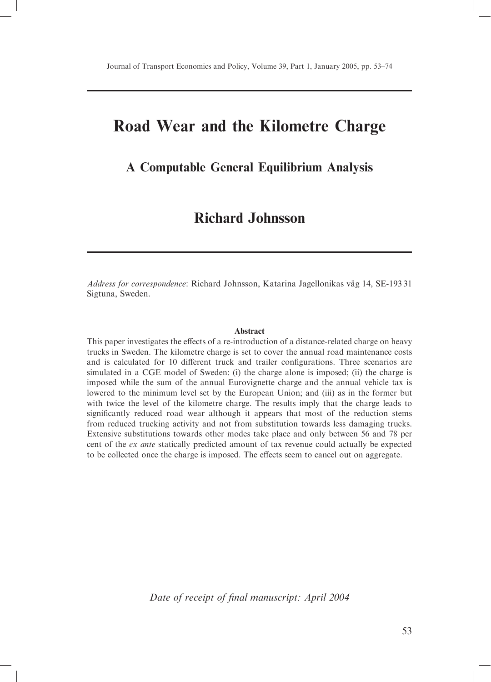# Road Wear and the Kilometre Charge

## A Computable General Equilibrium Analysis

# **Richard Johnsson**

*Address for correspondence*: Richard Johnsson, Katarina Jagellonikas väg 14, SE-19331 Sigtuna, Sweden.

#### **Abstract**

This paper investigates the effects of a re-introduction of a distance-related charge on heavy trucks in Sweden. The kilometre charge is set to cover the annual road maintenance costs and is calculated for 10 different truck and trailer configurations. Three scenarios are simulated in a CGE model of Sweden: (i) the charge alone is imposed; (ii) the charge is imposed while the sum of the annual Eurovignette charge and the annual vehicle tax is lowered to the minimum level set by the European Union; and (iii) as in the former but with twice the level of the kilometre charge. The results imply that the charge leads to significantly reduced road wear although it appears that most of the reduction stems from reduced trucking activity and not from substitution towards less damaging trucks. Extensive substitutions towards other modes take place and only between 56 and 78 per cent of the ex ante statically predicted amount of tax revenue could actually be expected to be collected once the charge is imposed. The effects seem to cancel out on aggregate.

Date of receipt of final manuscript: April 2004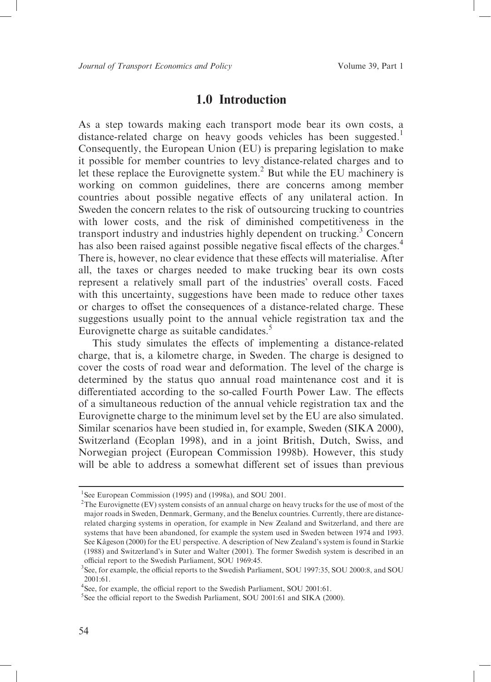## 1.0 Introduction

As a step towards making each transport mode bear its own costs, a distance-related charge on heavy goods vehicles has been suggested.<sup>1</sup> Consequently, the European Union (EU) is preparing legislation to make it possible for member countries to levy distance-related charges and to<br>let these replace the Eurovignette system.<sup>2</sup> But while the EU machinery is working on common guidelines, there are concerns among member countries about possible negative effects of any unilateral action. In Sweden the concern relates to the risk of outsourcing trucking to countries with lower costs, and the risk of diminished competitiveness in the transport industry and industries highly dependent on trucking.<sup>3</sup> Concern has also been raised against possible negative fiscal effects of the charges.<sup>4</sup> There is, however, no clear evidence that these effects will materialise. After all, the taxes or charges needed to make trucking bear its own costs represent a relatively small part of the industries' overall costs. Faced with this uncertainty, suggestions have been made to reduce other taxes or charges to offset the consequences of a distance-related charge. These suggestions usually point to the annual vehicle registration tax and the Eurovignette charge as suitable candidates.<sup>5</sup>

This study simulates the effects of implementing a distance-related charge, that is, a kilometre charge, in Sweden. The charge is designed to cover the costs of road wear and deformation. The level of the charge is determined by the status quo annual road maintenance cost and it is differentiated according to the so-called Fourth Power Law. The effects of a simultaneous reduction of the annual vehicle registration tax and the Eurovignette charge to the minimum level set by the EU are also simulated. Similar scenarios have been studied in, for example, Sweden (SIKA 2000), Switzerland (Ecoplan 1998), and in a joint British, Dutch, Swiss, and Norwegian project (European Commission 1998b). However, this study will be able to address a somewhat different set of issues than previous

<sup>&</sup>lt;sup>1</sup>See European Commission (1995) and (1998a), and SOU 2001.

 ${}^{2}$ The Eurovignette (EV) system consists of an annual charge on heavy trucks for the use of most of the major roads in Sweden, Denmark, Germany, and the Benelux countries. Currently, there are distancerelated charging systems in operation, for example in New Zealand and Switzerland, and there are systems that have been abandoned, for example the system used in Sweden between 1974 and 1993. See Kågeson (2000) for the EU perspective. A description of New Zealand's system is found in Starkie (1988) and Switzerland's in Suter and Walter (2001). The former Swedish system is described in an official report to the Swedish Parliament, SOU 1969:45.

<sup>&</sup>lt;sup>3</sup>See, for example, the official reports to the Swedish Parliament, SOU 1997:35, SOU 2000:8, and SOU  $2001:61.$ 

<sup>&</sup>lt;sup>4</sup>See, for example, the official report to the Swedish Parliament, SOU 2001:61.

<sup>&</sup>lt;sup>5</sup>See the official report to the Swedish Parliament, SOU 2001:61 and SIKA (2000).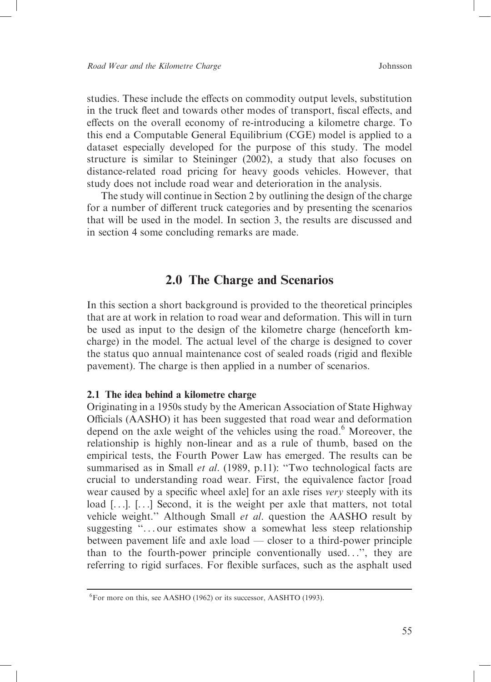studies. These include the effects on commodity output levels, substitution in the truck fleet and towards other modes of transport, fiscal effects, and effects on the overall economy of re-introducing a kilometre charge. To this end a Computable General Equilibrium (CGE) model is applied to a dataset especially developed for the purpose of this study. The model structure is similar to Steininger (2002), a study that also focuses on distance-related road pricing for heavy goods vehicles. However, that study does not include road wear and deterioration in the analysis.

The study will continue in Section 2 by outlining the design of the charge for a number of different truck categories and by presenting the scenarios that will be used in the model. In section 3, the results are discussed and in section 4 some concluding remarks are made.

## 2.0 The Charge and Scenarios

In this section a short background is provided to the theoretical principles that are at work in relation to road wear and deformation. This will in turn be used as input to the design of the kilometre charge (henceforth kmcharge) in the model. The actual level of the charge is designed to cover the status quo annual maintenance cost of sealed roads (rigid and flexible pavement). The charge is then applied in a number of scenarios.

### 2.1 The idea behind a kilometre charge

Originating in a 1950s study by the American Association of State Highway Officials (AASHO) it has been suggested that road wear and deformation depend on the axle weight of the vehicles using the road.<sup>6</sup> Moreover, the relationship is highly non-linear and as a rule of thumb, based on the empirical tests, the Fourth Power Law has emerged. The results can be summarised as in Small et al. (1989, p.11): "Two technological facts are crucial to understanding road wear. First, the equivalence factor [road wear caused by a specific wheel axlel for an axle rises very steeply with its load [...]. [...] Second, it is the weight per axle that matters, not total vehicle weight." Although Small et al. question the AASHO result by suggesting "... our estimates show a somewhat less steep relationship between pavement life and axle load — closer to a third-power principle than to the fourth-power principle conventionally used...", they are referring to rigid surfaces. For flexible surfaces, such as the asphalt used

 ${}^{6}$ For more on this, see AASHO (1962) or its successor, AASHTO (1993).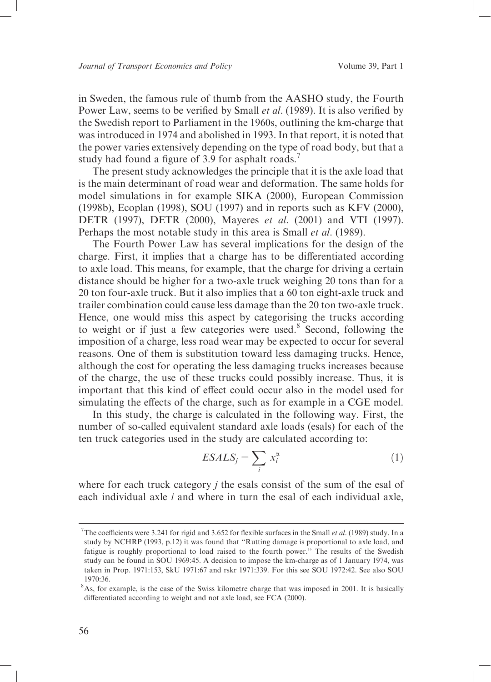in Sweden, the famous rule of thumb from the AASHO study, the Fourth Power Law, seems to be verified by Small et al. (1989). It is also verified by the Swedish report to Parliament in the 1960s, outlining the km-charge that was introduced in 1974 and abolished in 1993. In that report, it is noted that the power varies extensively depending on the type of road body, but that a study had found a figure of 3.9 for asphalt roads.<sup>7</sup>

The present study acknowledges the principle that it is the axle load that is the main determinant of road wear and deformation. The same holds for model simulations in for example SIKA (2000), European Commission (1998b), Ecoplan (1998), SOU (1997) and in reports such as KFV (2000), DETR (1997), DETR (2000), Mayeres et al. (2001) and VTI (1997). Perhaps the most notable study in this area is Small et al. (1989).

The Fourth Power Law has several implications for the design of the charge. First, it implies that a charge has to be differentiated according to axle load. This means, for example, that the charge for driving a certain distance should be higher for a two-axle truck weighing 20 tons than for a 20 ton four-axle truck. But it also implies that a 60 ton eight-axle truck and trailer combination could cause less damage than the 20 ton two-axle truck. Hence, one would miss this aspect by categorising the trucks according to weight or if just a few categories were used.<sup>8</sup> Second, following the imposition of a charge, less road wear may be expected to occur for several reasons. One of them is substitution toward less damaging trucks. Hence, although the cost for operating the less damaging trucks increases because of the charge, the use of these trucks could possibly increase. Thus, it is important that this kind of effect could occur also in the model used for simulating the effects of the charge, such as for example in a CGE model.

In this study, the charge is calculated in the following way. First, the number of so-called equivalent standard axle loads (esals) for each of the ten truck categories used in the study are calculated according to:

$$
ESALS_j = \sum_i x_i^{\alpha} \tag{1}
$$

where for each truck category  $j$  the esals consist of the sum of the esal of each individual axle  $i$  and where in turn the esal of each individual axle,

<sup>&</sup>lt;sup>7</sup>The coefficients were 3.241 for rigid and 3.652 for flexible surfaces in the Small et al. (1989) study. In a study by NCHRP (1993, p.12) it was found that "Rutting damage is proportional to axle load, and fatigue is roughly proportional to load raised to the fourth power." The results of the Swedish study can be found in SOU 1969:45. A decision to impose the km-charge as of 1 January 1974, was taken in Prop. 1971:153, SkU 1971:67 and rskr 1971:339. For this see SOU 1972:42. See also SOU 1970:36.

<sup>&</sup>lt;sup>8</sup>As, for example, is the case of the Swiss kilometre charge that was imposed in 2001. It is basically differentiated according to weight and not axle load, see FCA (2000).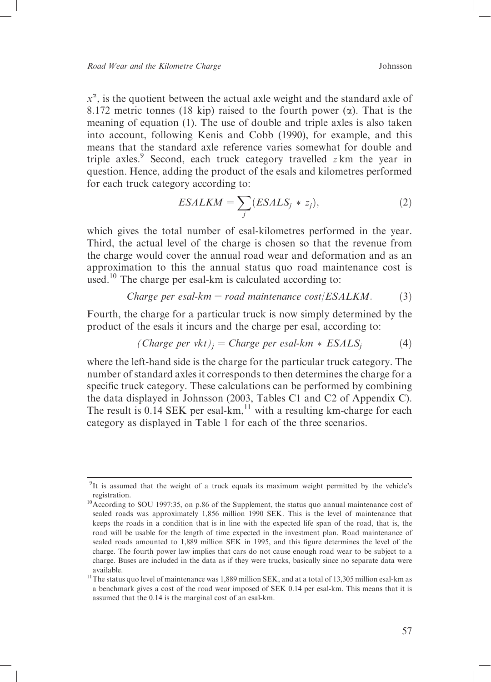$x^{\alpha}$ , is the quotient between the actual axle weight and the standard axle of 8.172 metric tonnes (18 kip) raised to the fourth power  $(\alpha)$ . That is the meaning of equation (1). The use of double and triple axles is also taken into account, following Kenis and Cobb (1990), for example, and this means that the standard axle reference varies somewhat for double and triple axles.<sup>9</sup> Second, each truck category travelled  $z$  km the year in question. Hence, adding the product of the esals and kilometres performed for each truck category according to:

$$
ESALKM = \sum_{j} (ESALS_j * z_j),
$$
 (2)

which gives the total number of esal-kilometres performed in the year. Third, the actual level of the charge is chosen so that the revenue from the charge would cover the annual road wear and deformation and as an approximation to this the annual status quo road maintenance cost is used.<sup>10</sup> The charge per esal-km is calculated according to:

$$
Change\ per\ esal-km = road\ maintenance\ cost/ESALKM.\tag{3}
$$

Fourth, the charge for a particular truck is now simply determined by the product of the esals it incurs and the charge per esal, according to:

where the left-hand side is the charge for the particular truck category. The number of standard axles it corresponds to then determines the charge for a specific truck category. These calculations can be performed by combining the data displayed in Johnsson (2003, Tables C1 and C2 of Appendix C). The result is  $0.14$  SEK per esal- $km$ ,  $^{11}$  with a resulting km-charge for each category as displayed in Table 1 for each of the three scenarios.

<sup>&</sup>lt;sup>9</sup>It is assumed that the weight of a truck equals its maximum weight permitted by the vehicle's registration.

<sup>&</sup>lt;sup>10</sup>According to SOU 1997:35, on p.86 of the Supplement, the status quo annual maintenance cost of sealed roads was approximately 1,856 million 1990 SEK. This is the level of maintenance that keeps the roads in a condition that is in line with the expected life span of the road, that is, the road will be usable for the length of time expected in the investment plan. Road maintenance of sealed roads amounted to 1,889 million SEK in 1995, and this figure determines the level of the charge. The fourth power law implies that cars do not cause enough road wear to be subject to a charge. Buses are included in the data as if they were trucks, basically since no separate data were available.

<sup>&</sup>lt;sup>11</sup>The status quo level of maintenance was 1,889 million SEK, and at a total of 13,305 million esal-km as a benchmark gives a cost of the road wear imposed of SEK 0.14 per esal-km. This means that it is assumed that the 0.14 is the marginal cost of an esal-km.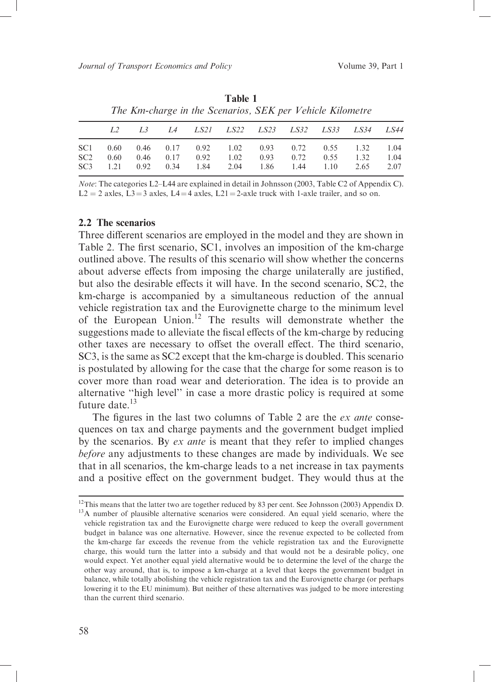|                 | The Km-charge in the Scenarios, SEK per <i>Venicie Kuometre</i> |             |      |                      |      |                                       |                    |      |             |      |  |  |  |
|-----------------|-----------------------------------------------------------------|-------------|------|----------------------|------|---------------------------------------|--------------------|------|-------------|------|--|--|--|
|                 |                                                                 | $L_{\rm}$ 3 |      |                      |      | L4 LS21 LS22 LS23 LS32 LS33 LS34 LS44 |                    |      |             |      |  |  |  |
| SC1.            | 0.60                                                            |             |      | $0.46$ $0.17$ $0.92$ | 1.02 |                                       | $0.93 \qquad 0.72$ |      | $0.55$ 1.32 | 1.04 |  |  |  |
| SC <sub>2</sub> | 0.60                                                            | 0.46        | 0.17 | 0.92                 | 1.02 | 0.93                                  | 0.72               | 0.55 | 1.32        | 1.04 |  |  |  |
| SC3             | 1.21                                                            | 0.92        | 0.34 | 1.84                 | 2.04 | 1.86                                  | 1.44               | 1.10 | 2.65        | 2.07 |  |  |  |

Table 1 The Km charge in the Scenarios, SEK per Vehicle Kilometro

*Note:* The categories L2–L44 are explained in detail in Johnsson (2003, Table C2 of Appendix C).  $L2 = 2$  axles,  $L3 = 3$  axles,  $L4 = 4$  axles,  $L21 = 2$ -axle truck with 1-axle trailer, and so on.

### 2.2 The scenarios

Three different scenarios are employed in the model and they are shown in Table 2. The first scenario, SC1, involves an imposition of the km-charge outlined above. The results of this scenario will show whether the concerns about adverse effects from imposing the charge unilaterally are justified, but also the desirable effects it will have. In the second scenario, SC2, the km-charge is accompanied by a simultaneous reduction of the annual vehicle registration tax and the Eurovignette charge to the minimum level of the European Union.<sup>12</sup> The results will demonstrate whether the suggestions made to alleviate the fiscal effects of the km-charge by reducing other taxes are necessary to offset the overall effect. The third scenario, SC3, is the same as SC2 except that the km-charge is doubled. This scenario is postulated by allowing for the case that the charge for some reason is to cover more than road wear and deterioration. The idea is to provide an alternative "high level" in case a more drastic policy is required at some future date.<sup>13</sup>

The figures in the last two columns of Table 2 are the ex ante consequences on tax and charge payments and the government budget implied by the scenarios. By ex ante is meant that they refer to implied changes before any adjustments to these changes are made by individuals. We see that in all scenarios, the km-charge leads to a net increase in tax payments and a positive effect on the government budget. They would thus at the

 $12$ This means that the latter two are together reduced by 83 per cent. See Johnsson (2003) Appendix D. <sup>13</sup>A number of plausible alternative scenarios were considered. An equal yield scenario, where the vehicle registration tax and the Eurovignette charge were reduced to keep the overall government budget in balance was one alternative. However, since the revenue expected to be collected from the km-charge far exceeds the revenue from the vehicle registration tax and the Eurovignette charge, this would turn the latter into a subsidy and that would not be a desirable policy, one would expect. Yet another equal yield alternative would be to determine the level of the charge the other way around, that is, to impose a km-charge at a level that keeps the government budget in balance, while totally abolishing the vehicle registration tax and the Eurovignette charge (or perhaps lowering it to the EU minimum). But neither of these alternatives was judged to be more interesting than the current third scenario.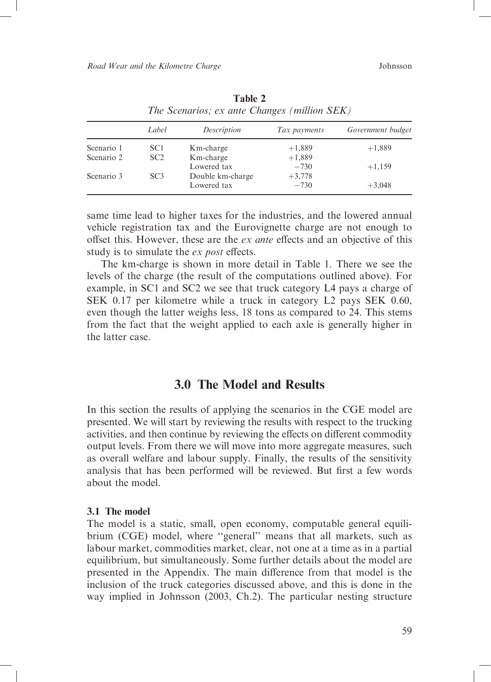|            | Label           | Description      | Tax payments | Government budget |
|------------|-----------------|------------------|--------------|-------------------|
| Scenario 1 | SC1             | Km-charge        | $+1,889$     | $+1,889$          |
| Scenario 2 | SC <sub>2</sub> | Km-charge        | $+1,889$     |                   |
|            |                 | Lowered tax      | $-730$       | $+1,159$          |
| Scenario 3 | SC <sub>3</sub> | Double km-charge | $+3,778$     |                   |
|            |                 | Lowered tax      | $-730$       | $+3.048$          |

Table 2 The Scenarios; ex ante Changes (million SEK)

same time lead to higher taxes for the industries, and the lowered annual vehicle registration tax and the Eurovignette charge are not enough to offset this. However, these are the ex ante effects and an objective of this study is to simulate the ex post effects.

The km-charge is shown in more detail in Table 1. There we see the levels of the charge (the result of the computations outlined above). For example, in SC1 and SC2 we see that truck category L4 pays a charge of SEK 0.17 per kilometre while a truck in category L2 pays SEK 0.60, even though the latter weighs less, 18 tons as compared to 24. This stems from the fact that the weight applied to each axle is generally higher in the latter case

## 3.0 The Model and Results

In this section the results of applying the scenarios in the CGE model are presented. We will start by reviewing the results with respect to the trucking activities, and then continue by reviewing the effects on different commodity output levels. From there we will move into more aggregate measures, such as overall welfare and labour supply. Finally, the results of the sensitivity analysis that has been performed will be reviewed. But first a few words about the model.

#### 3.1 The model

The model is a static, small, open economy, computable general equilibrium (CGE) model, where "general" means that all markets, such as labour market, commodities market, clear, not one at a time as in a partial equilibrium, but simultaneously. Some further details about the model are presented in the Appendix. The main difference from that model is the inclusion of the truck categories discussed above, and this is done in the way implied in Johnsson (2003, Ch.2). The particular nesting structure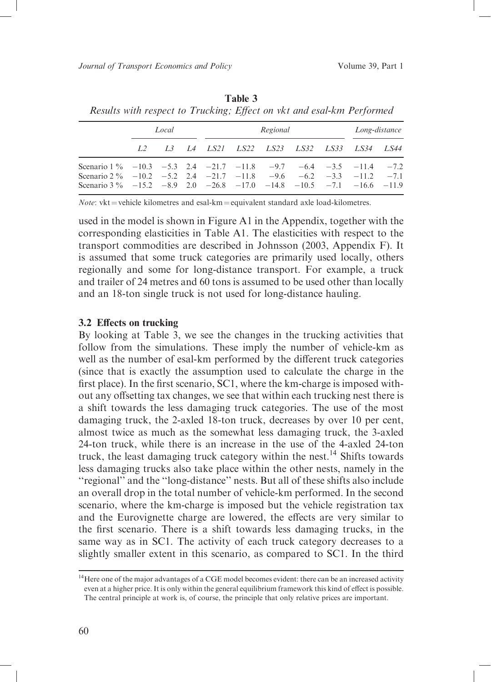|                                                                                                                                                                                                                     | Local |  |  |  | Regional |  |  |  |                                             | Long-distance |
|---------------------------------------------------------------------------------------------------------------------------------------------------------------------------------------------------------------------|-------|--|--|--|----------|--|--|--|---------------------------------------------|---------------|
|                                                                                                                                                                                                                     |       |  |  |  |          |  |  |  | L2 L3 L4 LS21 LS22 LS23 LS32 LS33 LS34 LS44 |               |
| Scenario $1\%$ -10.3 -5.3 2.4 -21.7 -11.8 -9.7 -6.4 -3.5 -11.4 -7.2<br>Scenario 2 % -10.2 -5.2 2.4 -21.7 -11.8 -9.6 -6.2 -3.3 -11.2 -7.1<br>Scenario 3 $\%$ -15.2 -8.9 2.0 -26.8 -17.0 -14.8 -10.5 -7.1 -16.6 -11.9 |       |  |  |  |          |  |  |  |                                             |               |

Table 3 Results with respect to Trucking; Effect on vkt and esal-km Performed

Note: vkt = vehicle kilometres and esal-km = equivalent standard axle load-kilometres.

used in the model is shown in Figure A1 in the Appendix, together with the corresponding elasticities in Table A1. The elasticities with respect to the transport commodities are described in Johnsson (2003, Appendix F). It is assumed that some truck categories are primarily used locally, others regionally and some for long-distance transport. For example, a truck and trailer of 24 metres and 60 tons is assumed to be used other than locally and an 18-ton single truck is not used for long-distance hauling.

#### 3.2 Effects on trucking

By looking at Table  $\overline{3}$ , we see the changes in the trucking activities that follow from the simulations. These imply the number of vehicle-km as well as the number of esal-km performed by the different truck categories (since that is exactly the assumption used to calculate the charge in the first place). In the first scenario, SC1, where the km-charge is imposed without any offsetting tax changes, we see that within each trucking nest there is a shift towards the less damaging truck categories. The use of the most damaging truck, the 2-axled 18-ton truck, decreases by over 10 per cent, almost twice as much as the somewhat less damaging truck, the 3-axled 24-ton truck, while there is an increase in the use of the 4-axled 24-ton truck, the least damaging truck category within the nest.<sup>14</sup> Shifts towards less damaging trucks also take place within the other nests, namely in the "regional" and the "long-distance" nests. But all of these shifts also include an overall drop in the total number of vehicle-km performed. In the second scenario, where the km-charge is imposed but the vehicle registration tax and the Eurovignette charge are lowered, the effects are very similar to the first scenario. There is a shift towards less damaging trucks, in the same way as in SC1. The activity of each truck category decreases to a slightly smaller extent in this scenario, as compared to SC1. In the third

<sup>&</sup>lt;sup>14</sup>Here one of the major advantages of a CGE model becomes evident: there can be an increased activity even at a higher price. It is only within the general equilibrium framework this kind of effect is possible. The central principle at work is, of course, the principle that only relative prices are important.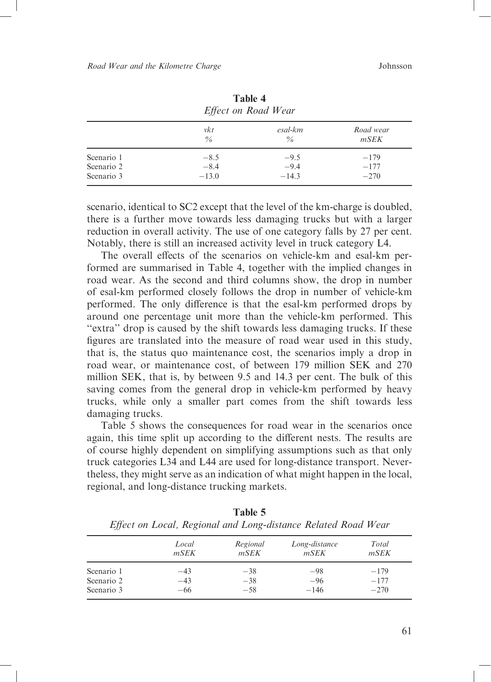|            | Effect on Road Wear |                 |                   |  |  |
|------------|---------------------|-----------------|-------------------|--|--|
|            | vkt<br>$\%$         | esal-km<br>$\%$ | Road wear<br>mSEK |  |  |
| Scenario 1 | $-8.5$              | $-9.5$          | $-179$            |  |  |
| Scenario 2 | $-8.4$              | $-9.4$          | $-177$            |  |  |
| Scenario 3 | $-13.0$             | $-14.3$         | $-270$            |  |  |

Table 4

scenario, identical to SC2 except that the level of the km-charge is doubled, there is a further move towards less damaging trucks but with a larger reduction in overall activity. The use of one category falls by 27 per cent. Notably, there is still an increased activity level in truck category L4.

The overall effects of the scenarios on vehicle-km and esal-km performed are summarised in Table 4, together with the implied changes in road wear. As the second and third columns show, the drop in number of esal-km performed closely follows the drop in number of vehicle-km performed. The only difference is that the esal-km performed drops by around one percentage unit more than the vehicle-km performed. This "extra" drop is caused by the shift towards less damaging trucks. If these figures are translated into the measure of road wear used in this study, that is, the status quo maintenance cost, the scenarios imply a drop in road wear, or maintenance cost, of between 179 million SEK and 270 million SEK, that is, by between 9.5 and 14.3 per cent. The bulk of this saving comes from the general drop in vehicle-km performed by heavy trucks, while only a smaller part comes from the shift towards less damaging trucks.

Table 5 shows the consequences for road wear in the scenarios once again, this time split up according to the different nests. The results are of course highly dependent on simplifying assumptions such as that only truck categories L34 and L44 are used for long-distance transport. Nevertheless, they might serve as an indication of what might happen in the local, regional, and long-distance trucking markets.

| $\cdot \cdot \cdot$ |       |          |               |        |
|---------------------|-------|----------|---------------|--------|
|                     | Local | Regional | Long-distance | Total  |
|                     | mSEK  | mSEK     | mSEK          | mSEK   |
| Scenario 1          | -43   | $-38$    | $-98$         | $-179$ |
| Scenario 2          | $-43$ | $-38$    | $-96$         | $-177$ |
| Scenario 3          | -66   | $-58$    | $-146$        | $-270$ |

Table 5 Effect on Local, Regional and Long-distance Related Road Wear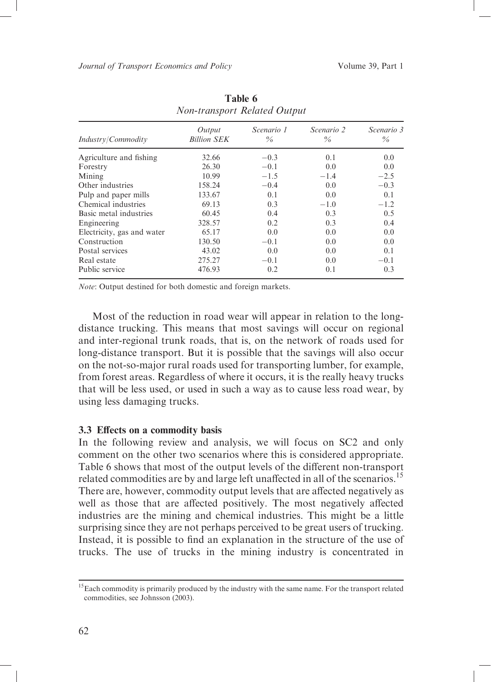| Industry/Commodity         | Output<br><b>Billion SEK</b> | Scenario 1<br>$\%$ | <i>Scenario</i> 2<br>$\%$ | Scenario 3<br>$\%$ |
|----------------------------|------------------------------|--------------------|---------------------------|--------------------|
| Agriculture and fishing    | 32.66                        | $-0.3$             | 0.1                       | 0.0                |
| Forestry                   | 26.30                        | $-0.1$             | 0.0                       | 0.0                |
| Mining                     | 10.99                        | $-1.5$             | $-1.4$                    | $-2.5$             |
| Other industries           | 158.24                       | $-0.4$             | 0.0                       | $-0.3$             |
| Pulp and paper mills       | 133.67                       | 0.1                | 0.0                       | 0.1                |
| Chemical industries        | 69.13                        | 0.3                | $-1.0$                    | $-1.2$             |
| Basic metal industries     | 60.45                        | 0.4                | 0.3                       | 0.5                |
| Engineering                | 328.57                       | 0.2                | 0.3                       | 0.4                |
| Electricity, gas and water | 65.17                        | 0.0                | 0.0                       | 0.0                |
| Construction               | 130.50                       | $-0.1$             | 0.0                       | 0.0                |
| Postal services            | 43.02                        | 0.0                | 0.0                       | 0.1                |
| Real estate                | 275.27                       | $-0.1$             | 0.0                       | $-0.1$             |
| Public service             | 476.93                       | 0.2                | 0.1                       | 0.3                |

Table 6 Non-transport Related Output

Note: Output destined for both domestic and foreign markets.

Most of the reduction in road wear will appear in relation to the longdistance trucking. This means that most savings will occur on regional and inter-regional trunk roads, that is, on the network of roads used for long-distance transport. But it is possible that the savings will also occur on the not-so-major rural roads used for transporting lumber, for example, from forest areas. Regardless of where it occurs, it is the really heavy trucks that will be less used, or used in such a way as to cause less road wear, by using less damaging trucks.

### 3.3 Effects on a commodity basis

In the following review and analysis, we will focus on SC2 and only comment on the other two scenarios where this is considered appropriate. Table 6 shows that most of the output levels of the different non-transport related commodities are by and large left unaffected in all of the scenarios.<sup>15</sup> There are, however, commodity output levels that are affected negatively as well as those that are affected positively. The most negatively affected industries are the mining and chemical industries. This might be a little surprising since they are not perhaps perceived to be great users of trucking. Instead, it is possible to find an explanation in the structure of the use of trucks. The use of trucks in the mining industry is concentrated in

<sup>&</sup>lt;sup>15</sup> Each commodity is primarily produced by the industry with the same name. For the transport related commodities, see Johnsson (2003).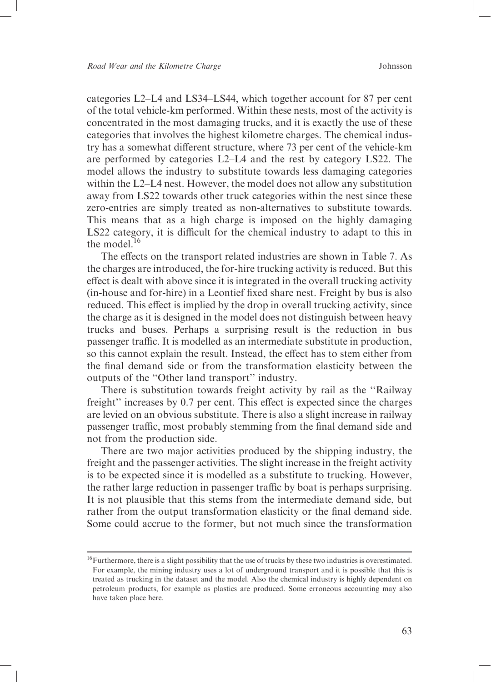categories L2-L4 and LS34-LS44, which together account for 87 per cent of the total vehicle-km performed. Within these nests, most of the activity is concentrated in the most damaging trucks, and it is exactly the use of these categories that involves the highest kilometre charges. The chemical industry has a somewhat different structure, where 73 per cent of the vehicle-km are performed by categories L2–L4 and the rest by category LS22. The model allows the industry to substitute towards less damaging categories within the L2–L4 nest. However, the model does not allow any substitution away from LS22 towards other truck categories within the nest since these zero-entries are simply treated as non-alternatives to substitute towards. This means that as a high charge is imposed on the highly damaging LS22 category, it is difficult for the chemical industry to adapt to this in the model  $^{16}$ 

The effects on the transport related industries are shown in Table 7. As the charges are introduced, the for-hire trucking activity is reduced. But this effect is dealt with above since it is integrated in the overall trucking activity (in-house and for-hire) in a Leontief fixed share nest. Freight by bus is also reduced. This effect is implied by the drop in overall trucking activity, since the charge as it is designed in the model does not distinguish between heavy trucks and buses. Perhaps a surprising result is the reduction in bus passenger traffic. It is modelled as an intermediate substitute in production. so this cannot explain the result. Instead, the effect has to stem either from the final demand side or from the transformation elasticity between the outputs of the "Other land transport" industry.

There is substitution towards freight activity by rail as the "Railway freight" increases by 0.7 per cent. This effect is expected since the charges are levied on an obvious substitute. There is also a slight increase in railway passenger traffic, most probably stemming from the final demand side and not from the production side.

There are two major activities produced by the shipping industry, the freight and the passenger activities. The slight increase in the freight activity is to be expected since it is modelled as a substitute to trucking. However, the rather large reduction in passenger traffic by boat is perhaps surprising. It is not plausible that this stems from the intermediate demand side, but rather from the output transformation elasticity or the final demand side. Some could accrue to the former, but not much since the transformation

<sup>&</sup>lt;sup>16</sup> Furthermore, there is a slight possibility that the use of trucks by these two industries is overestimated. For example, the mining industry uses a lot of underground transport and it is possible that this is treated as trucking in the dataset and the model. Also the chemical industry is highly dependent on petroleum products, for example as plastics are produced. Some erroneous accounting may also have taken place here.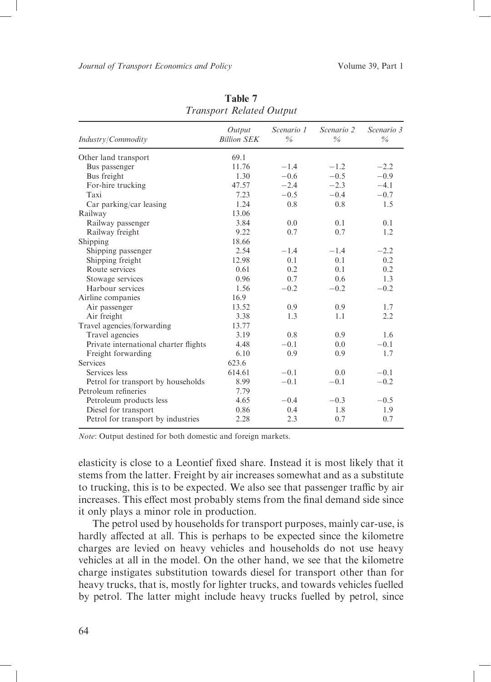| Industry/Commodity                    | Output<br><b>Billion SEK</b> | Scenario 1<br>$\%$ | Scenario 2<br>$\frac{0}{6}$ | Scenario 3<br>$\frac{0}{6}$ |
|---------------------------------------|------------------------------|--------------------|-----------------------------|-----------------------------|
| Other land transport                  | 69.1                         |                    |                             |                             |
| Bus passenger                         | 11.76                        | $-1.4$             | $-1.2$                      | $-2.2$                      |
| Bus freight                           | 1.30                         | $-0.6$             | $-0.5$                      | $-0.9$                      |
| For-hire trucking                     | 47.57                        | $-2.4$             | $-2.3$                      | $-4.1$                      |
| Taxi                                  | 7.23                         | $-0.5$             | $-0.4$                      | $-0.7$                      |
| Car parking/car leasing               | 1.24                         | 0.8                | 0.8                         | 1.5                         |
| Railway                               | 13.06                        |                    |                             |                             |
| Railway passenger                     | 3.84                         | 0.0                | 0.1                         | 0.1                         |
| Railway freight                       | 9.22                         | 0.7                | 0.7                         | 1.2                         |
| Shipping                              | 18.66                        |                    |                             |                             |
| Shipping passenger                    | 2.54                         | $-1.4$             | $-1.4$                      | $-2.2$                      |
| Shipping freight                      | 12.98                        | 0.1                | 0.1                         | 0.2                         |
| Route services                        | 0.61                         | 0.2                | 0.1                         | 0.2                         |
| Stowage services                      | 0.96                         | 0.7                | 0.6                         | 1.3                         |
| Harbour services                      | 1.56                         | $-0.2$             | $-0.2$                      | $-0.2$                      |
| Airline companies                     | 16.9                         |                    |                             |                             |
| Air passenger                         | 13.52                        | 0.9                | 0.9                         | 1.7                         |
| Air freight                           | 3.38                         | 1.3                | 1.1                         | 2.2                         |
| Travel agencies/forwarding            | 13.77                        |                    |                             |                             |
| Travel agencies                       | 3.19                         | 0.8                | 0.9                         | 1.6                         |
| Private international charter flights | 4.48                         | $-0.1$             | 0.0                         | $-0.1$                      |
| Freight forwarding                    | 6.10                         | 0.9                | 0.9                         | 1.7                         |
| <b>Services</b>                       | 623.6                        |                    |                             |                             |
| Services less                         | 614.61                       | $-0.1$             | 0.0                         | $-0.1$                      |
| Petrol for transport by households    | 8.99                         | $-0.1$             | $-0.1$                      | $-0.2$                      |
| Petroleum refineries                  | 7.79                         |                    |                             |                             |
| Petroleum products less               | 4.65                         | $-0.4$             | $-0.3$                      | $-0.5$                      |
| Diesel for transport                  | 0.86                         | 0.4                | 1.8                         | 1.9                         |
| Petrol for transport by industries    | 2.28                         | 2.3                | 0.7                         | 0.7                         |

Table 7 **Transport Related Output** 

Note: Output destined for both domestic and foreign markets.

elasticity is close to a Leontief fixed share. Instead it is most likely that it stems from the latter. Freight by air increases somewhat and as a substitute to trucking, this is to be expected. We also see that passenger traffic by air increases. This effect most probably stems from the final demand side since it only plays a minor role in production.

The petrol used by households for transport purposes, mainly car-use, is hardly affected at all. This is perhaps to be expected since the kilometre charges are levied on heavy vehicles and households do not use heavy vehicles at all in the model. On the other hand, we see that the kilometre charge instigates substitution towards diesel for transport other than for heavy trucks, that is, mostly for lighter trucks, and towards vehicles fuelled by petrol. The latter might include heavy trucks fuelled by petrol, since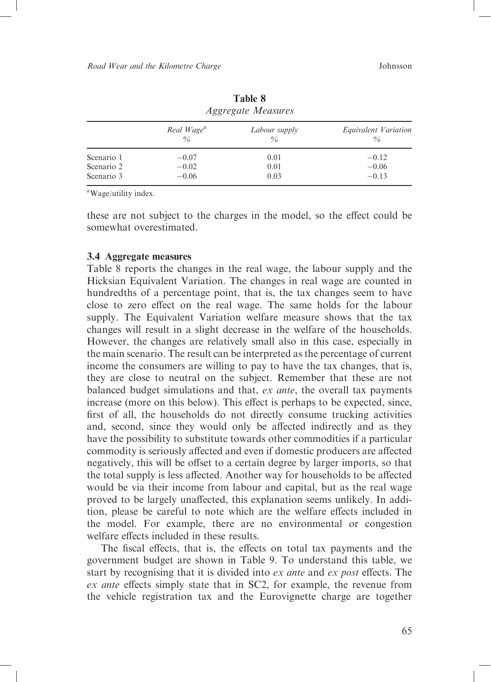|            | <i>HAALGUIG MECHONICS</i>      |                       |                              |  |  |  |  |
|------------|--------------------------------|-----------------------|------------------------------|--|--|--|--|
|            | Real Wage <sup>a</sup><br>$\%$ | Labour supply<br>$\%$ | Equivalent Variation<br>$\%$ |  |  |  |  |
| Scenario 1 | $-0.07$                        | 0.01                  | $-0.12$                      |  |  |  |  |
| Scenario 2 | $-0.02$                        | 0.01                  | $-0.06$                      |  |  |  |  |
| Scenario 3 | $-0.06$                        | 0.03                  | $-0.13$                      |  |  |  |  |

**Table 8** *Aggregate Measures* 

<sup>a</sup>Wage/utility index.

these are not subject to the charges in the model, so the effect could be somewhat overestimated

## 3.4 Aggregate measures

Table 8 reports the changes in the real wage, the labour supply and the Hicksian Equivalent Variation. The changes in real wage are counted in hundredths of a percentage point, that is, the tax changes seem to have close to zero effect on the real wage. The same holds for the labour supply. The Equivalent Variation welfare measure shows that the tax changes will result in a slight decrease in the welfare of the households. However, the changes are relatively small also in this case, especially in the main scenario. The result can be interpreted as the percentage of current income the consumers are willing to pay to have the tax changes, that is, they are close to neutral on the subject. Remember that these are not balanced budget simulations and that, ex ante, the overall tax payments increase (more on this below). This effect is perhaps to be expected, since, first of all, the households do not directly consume trucking activities and, second, since they would only be affected indirectly and as they have the possibility to substitute towards other commodities if a particular commodity is seriously affected and even if domestic producers are affected negatively, this will be offset to a certain degree by larger imports, so that the total supply is less affected. Another way for households to be affected would be via their income from labour and capital, but as the real wage proved to be largely unaffected, this explanation seems unlikely. In addition, please be careful to note which are the welfare effects included in the model. For example, there are no environmental or congestion welfare effects included in these results.

The fiscal effects, that is, the effects on total tax payments and the government budget are shown in Table 9. To understand this table, we start by recognising that it is divided into ex ante and ex post effects. The ex ante effects simply state that in SC2, for example, the revenue from the vehicle registration tax and the Eurovignette charge are together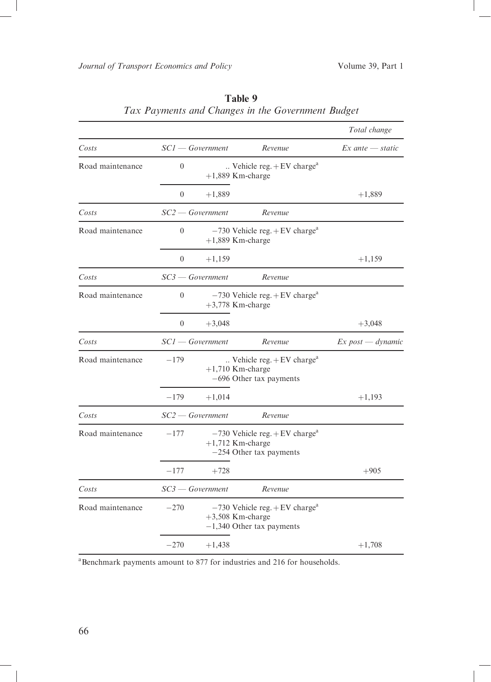|                  |                |                    |                                                                                                   | Total change         |
|------------------|----------------|--------------------|---------------------------------------------------------------------------------------------------|----------------------|
| Costs            |                | $SCI - Government$ | Revenue                                                                                           | $Ex$ ante $-$ static |
| Road maintenance | $\theta$       |                    | $\ldots$ Vehicle reg. + EV charge <sup>a</sup><br>$+1,889$ Km-charge                              |                      |
|                  | $\theta$       | $+1,889$           |                                                                                                   | $+1,889$             |
| Costs            |                | $SC2$ — Government | Revenue                                                                                           |                      |
| Road maintenance | $\theta$       |                    | $-730$ Vehicle reg. + EV charge <sup>a</sup><br>$+1,889$ Km-charge                                |                      |
|                  | $\theta$       | $+1,159$           |                                                                                                   | $+1,159$             |
| Costs            |                | $SC3 - Government$ | Revenue                                                                                           |                      |
| Road maintenance | $\theta$       |                    | $-730$ Vehicle reg. + EV charge <sup>a</sup><br>$+3,778$ Km-charge                                |                      |
|                  | $\overline{0}$ | $+3,048$           |                                                                                                   | $+3,048$             |
| Costs            |                | $SCI - Government$ | Revenue                                                                                           | $Ex$ post — dynamic  |
| Road maintenance | $-179$         |                    | $\ldots$ Vehicle reg. + EV charge <sup>a</sup><br>$+1,710$ Km-charge<br>-696 Other tax payments   |                      |
|                  | $-179$         | $+1,014$           |                                                                                                   | $+1,193$             |
| Costs            |                | $SC2$ — Government | Revenue                                                                                           |                      |
| Road maintenance | $-177$         |                    | $-730$ Vehicle reg. + EV charge <sup>a</sup><br>$+1,712$ Km-charge<br>$-254$ Other tax payments   |                      |
|                  | $-177$         | $+728$             |                                                                                                   | $+905$               |
| Costs            |                | $SC3$ — Government | Revenue                                                                                           |                      |
| Road maintenance | $-270$         |                    | $-730$ Vehicle reg. + EV charge <sup>a</sup><br>$+3,508$ Km-charge<br>$-1,340$ Other tax payments |                      |
|                  | $-270$         | $+1,438$           |                                                                                                   | $+1,708$             |

## Table 9 Tax Payments and Changes in the Government Budget

<sup>a</sup>Benchmark payments amount to 877 for industries and 216 for households.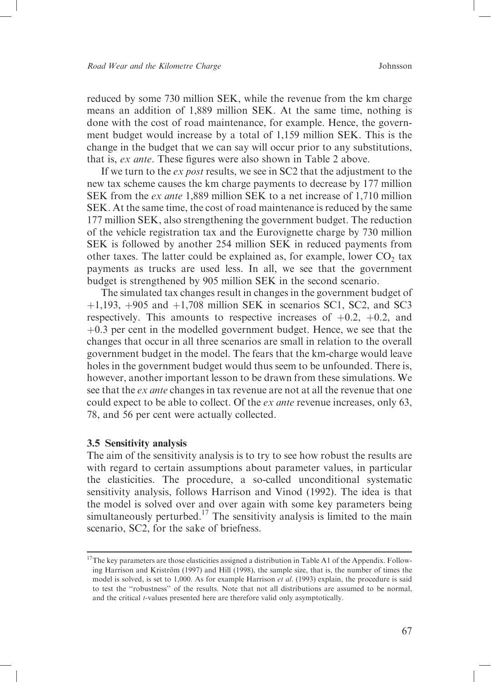reduced by some 730 million SEK, while the revenue from the km charge means an addition of 1,889 million SEK. At the same time, nothing is done with the cost of road maintenance, for example. Hence, the government budget would increase by a total of 1,159 million SEK. This is the change in the budget that we can say will occur prior to any substitutions, that is, ex ante. These figures were also shown in Table 2 above.

If we turn to the ex post results, we see in SC2 that the adjustment to the new tax scheme causes the km charge payments to decrease by 177 million SEK from the *ex ante* 1,889 million SEK to a net increase of 1,710 million SEK. At the same time, the cost of road maintenance is reduced by the same 177 million SEK, also strengthening the government budget. The reduction of the vehicle registration tax and the Eurovignette charge by 730 million SEK is followed by another 254 million SEK in reduced payments from other taxes. The latter could be explained as, for example, lower CO<sub>2</sub> tax payments as trucks are used less. In all, we see that the government budget is strengthened by 905 million SEK in the second scenario.

The simulated tax changes result in changes in the government budget of +1,193, +905 and +1,708 million SEK in scenarios SC1, SC2, and SC3 respectively. This amounts to respective increases of  $+0.2$ ,  $+0.2$ , and  $+0.3$  per cent in the modelled government budget. Hence, we see that the changes that occur in all three scenarios are small in relation to the overall government budget in the model. The fears that the km-charge would leave holes in the government budget would thus seem to be unfounded. There is, however, another important lesson to be drawn from these simulations. We see that the ex ante changes in tax revenue are not at all the revenue that one could expect to be able to collect. Of the *ex ante* revenue increases, only 63, 78, and 56 per cent were actually collected.

### 3.5 Sensitivity analysis

The aim of the sensitivity analysis is to try to see how robust the results are with regard to certain assumptions about parameter values, in particular the elasticities. The procedure, a so-called unconditional systematic sensitivity analysis, follows Harrison and Vinod (1992). The idea is that the model is solved over and over again with some key parameters being<br>simultaneously perturbed.<sup>17</sup> The sensitivity analysis is limited to the main scenario. SC2. for the sake of briefness.

 $17$ The key parameters are those elasticities assigned a distribution in Table A1 of the Appendix. Following Harrison and Kriström (1997) and Hill (1998), the sample size, that is, the number of times the model is solved, is set to 1,000. As for example Harrison et al. (1993) explain, the procedure is said to test the "robustness" of the results. Note that not all distributions are assumed to be normal, and the critical *t*-values presented here are therefore valid only asymptotically.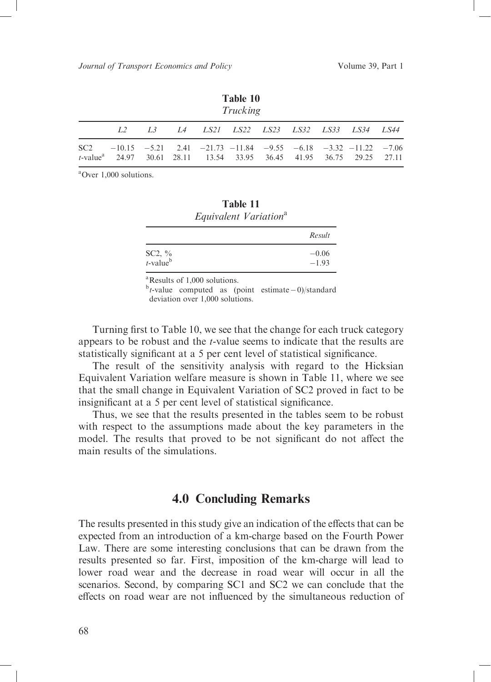| Table 10<br>Trucking                                                                                                                                                         |  |  |                                          |  |  |  |  |  |  |  |  |
|------------------------------------------------------------------------------------------------------------------------------------------------------------------------------|--|--|------------------------------------------|--|--|--|--|--|--|--|--|
| L2                                                                                                                                                                           |  |  | L3 L4 LS21 LS22 LS23 LS32 LS33 LS34 LS44 |  |  |  |  |  |  |  |  |
| $SC2$ $-10.15$ $-5.21$ $2.41$ $-21.73$ $-11.84$ $-9.55$ $-6.18$ $-3.32$ $-11.22$ $-7.06$<br>t-value <sup>a</sup> 24.97 30.61 28.11 13.54 33.95 36.45 41.95 36.75 29.25 27.11 |  |  |                                          |  |  |  |  |  |  |  |  |

 ${}^{\text{a}}$ Over 1.000 solutions.

|                                            | Equivalent Variation <sup>a</sup> |                    |
|--------------------------------------------|-----------------------------------|--------------------|
|                                            |                                   | Result             |
| SC2, $\frac{6}{t}$<br>t-value <sup>b</sup> |                                   | $-0.06$<br>$-1.93$ |

Table 11

<sup>a</sup>Results of 1,000 solutions.

 $b$ t-value computed as (point estimate -0)/standard deviation over 1,000 solutions.

Turning first to Table 10, we see that the change for each truck category appears to be robust and the *t*-value seems to indicate that the results are statistically significant at a 5 per cent level of statistical significance.

The result of the sensitivity analysis with regard to the Hicksian Equivalent Variation welfare measure is shown in Table 11, where we see that the small change in Equivalent Variation of SC2 proved in fact to be insignificant at a 5 per cent level of statistical significance.

Thus, we see that the results presented in the tables seem to be robust with respect to the assumptions made about the key parameters in the model. The results that proved to be not significant do not affect the main results of the simulations

## **4.0 Concluding Remarks**

The results presented in this study give an indication of the effects that can be expected from an introduction of a km-charge based on the Fourth Power Law. There are some interesting conclusions that can be drawn from the results presented so far. First, imposition of the km-charge will lead to lower road wear and the decrease in road wear will occur in all the scenarios. Second, by comparing SC1 and SC2 we can conclude that the effects on road wear are not influenced by the simultaneous reduction of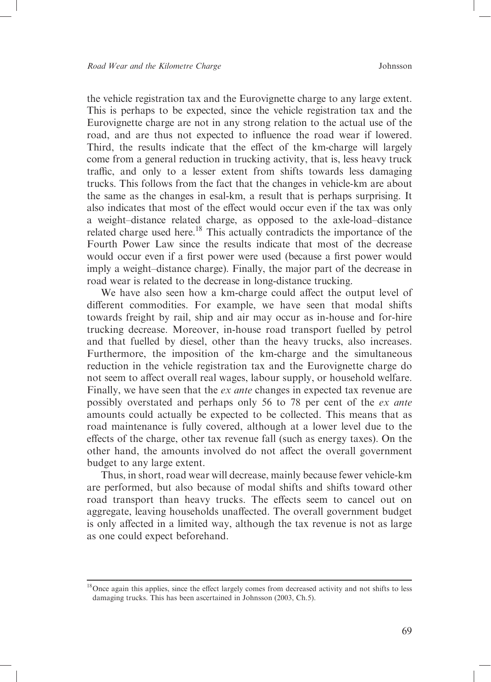the vehicle registration tax and the Eurovignette charge to any large extent. This is perhaps to be expected, since the vehicle registration tax and the Eurovignette charge are not in any strong relation to the actual use of the road, and are thus not expected to influence the road wear if lowered. Third, the results indicate that the effect of the km-charge will largely come from a general reduction in trucking activity, that is, less heavy truck traffic, and only to a lesser extent from shifts towards less damaging trucks. This follows from the fact that the changes in vehicle-km are about the same as the changes in esal-km, a result that is perhaps surprising. It also indicates that most of the effect would occur even if the tax was only a weight-distance related charge, as opposed to the axle-load-distance related charge used here.<sup>18</sup> This actually contradicts the importance of the Fourth Power Law since the results indicate that most of the decrease would occur even if a first power were used (because a first power would imply a weight-distance charge). Finally, the major part of the decrease in road wear is related to the decrease in long-distance trucking.

We have also seen how a km-charge could affect the output level of different commodities. For example, we have seen that modal shifts towards freight by rail, ship and air may occur as in-house and for-hire trucking decrease. Moreover, in-house road transport fuelled by petrol and that fuelled by diesel, other than the heavy trucks, also increases. Furthermore, the imposition of the km-charge and the simultaneous reduction in the vehicle registration tax and the Eurovignette charge do not seem to affect overall real wages, labour supply, or household welfare. Finally, we have seen that the  $ex$  ante changes in expected tax revenue are possibly overstated and perhaps only 56 to 78 per cent of the ex ante amounts could actually be expected to be collected. This means that as road maintenance is fully covered, although at a lower level due to the effects of the charge, other tax revenue fall (such as energy taxes). On the other hand, the amounts involved do not affect the overall government budget to any large extent.

Thus, in short, road wear will decrease, mainly because fewer vehicle-km are performed, but also because of modal shifts and shifts toward other road transport than heavy trucks. The effects seem to cancel out on aggregate, leaving households unaffected. The overall government budget is only affected in a limited way, although the tax revenue is not as large as one could expect beforehand.

<sup>&</sup>lt;sup>18</sup>Once again this applies, since the effect largely comes from decreased activity and not shifts to less damaging trucks. This has been ascertained in Johnsson (2003, Ch.5).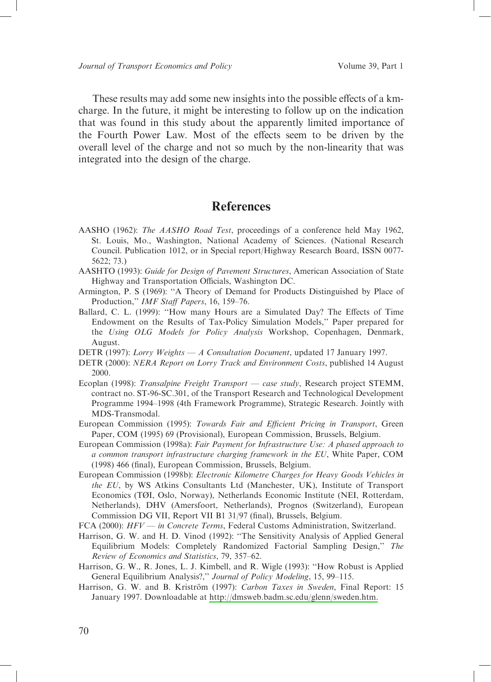These results may add some new insights into the possible effects of a kmcharge. In the future, it might be interesting to follow up on the indication that was found in this study about the apparently limited importance of the Fourth Power Law. Most of the effects seem to be driven by the overall level of the charge and not so much by the non-linearity that was integrated into the design of the charge.

## **References**

- AASHO (1962): The AASHO Road Test, proceedings of a conference held May 1962, St. Louis, Mo., Washington, National Academy of Sciences. (National Research Council. Publication 1012, or in Special report/Highway Research Board, ISSN 0077- $5622; 73.)$
- AASHTO (1993): Guide for Design of Pavement Structures, American Association of State Highway and Transportation Officials, Washington DC.
- Armington, P. S (1969): "A Theory of Demand for Products Distinguished by Place of Production," IMF Staff Papers, 16, 159-76.
- Ballard, C. L. (1999): "How many Hours are a Simulated Day? The Effects of Time Endowment on the Results of Tax-Policy Simulation Models," Paper prepared for the Using OLG Models for Policy Analysis Workshop, Copenhagen, Denmark, August.
- DETR (1997): Lorry Weights A Consultation Document, updated 17 January 1997.
- DETR (2000): NERA Report on Lorry Track and Environment Costs, published 14 August 2000.
- Ecoplan (1998): Transalpine Freight Transport case study, Research project STEMM, contract no. ST-96-SC.301, of the Transport Research and Technological Development Programme 1994–1998 (4th Framework Programme), Strategic Research. Jointly with MDS-Transmodal.
- European Commission (1995): Towards Fair and Efficient Pricing in Transport, Green Paper, COM (1995) 69 (Provisional), European Commission, Brussels, Belgium.
- European Commission (1998a): Fair Payment for Infrastructure Use: A phased approach to a common transport infrastructure charging framework in the EU, White Paper, COM (1998) 466 (final), European Commission, Brussels, Belgium.
- European Commission (1998b): Electronic Kilometre Charges for Heavy Goods Vehicles in the EU, by WS Atkins Consultants Ltd (Manchester, UK), Institute of Transport Economics (TØI, Oslo, Norway), Netherlands Economic Institute (NEI, Rotterdam, Netherlands), DHV (Amersfoort, Netherlands), Prognos (Switzerland), European Commission DG VII, Report VII B1 31/97 (final), Brussels, Belgium.
- FCA (2000): HFV in Concrete Terms, Federal Customs Administration, Switzerland.
- Harrison, G. W. and H. D. Vinod (1992): "The Sensitivity Analysis of Applied General Equilibrium Models: Completely Randomized Factorial Sampling Design," The Review of Economics and Statistics, 79, 357-62.
- Harrison, G. W., R. Jones, L. J. Kimbell, and R. Wigle (1993): "How Robust is Applied General Equilibrium Analysis?," Journal of Policy Modeling, 15, 99-115.
- Harrison, G. W. and B. Kriström (1997): Carbon Taxes in Sweden, Final Report: 15 January 1997. Downloadable at http://dmsweb.badm.sc.edu/glenn/sweden.htm.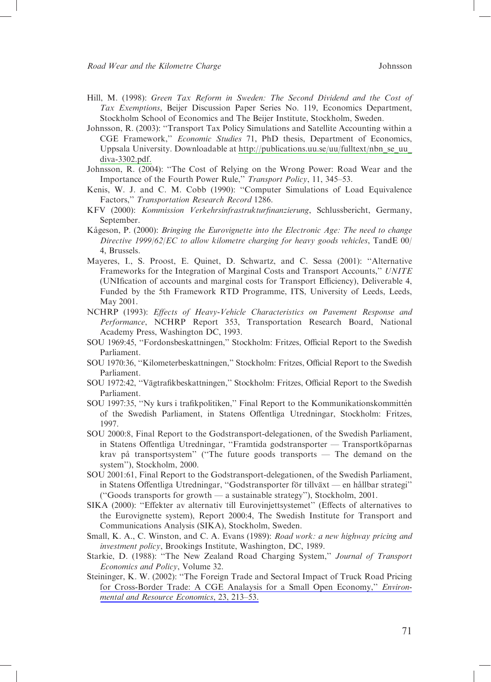- Hill, M. (1998): Green Tax Reform in Sweden: The Second Dividend and the Cost of Tax Exemptions, Beijer Discussion Paper Series No. 119, Economics Department, Stockholm School of Economics and The Beijer Institute, Stockholm, Sweden.
- Johnsson, R. (2003): "Transport Tax Policy Simulations and Satellite Accounting within a CGE Framework," Economic Studies 71, PhD thesis, Department of Economics, Uppsala University. Downloadable at http://publications.uu.se/uu/fulltext/nbn se uu diva-3302.pdf.
- Johnsson, R. (2004): "The Cost of Relying on the Wrong Power: Road Wear and the Importance of the Fourth Power Rule," Transport Policy, 11, 345-53.
- Kenis, W. J. and C. M. Cobb (1990): "Computer Simulations of Load Equivalence Factors," Transportation Research Record 1286.
- KFV (2000): Kommission Verkehrsinfrastrukturfinanzierung, Schlussbericht, Germany, September.
- Kågeson, P. (2000): Bringing the Eurovignette into the Electronic Age: The need to change Directive 1999/62/EC to allow kilometre charging for heavy goods vehicles, TandE 00/ 4. Brussels.
- Mayeres, I., S. Proost, E. Quinet, D. Schwartz, and C. Sessa (2001): "Alternative Frameworks for the Integration of Marginal Costs and Transport Accounts," UNITE (UNIfication of accounts and marginal costs for Transport Efficiency), Deliverable 4, Funded by the 5th Framework RTD Programme, ITS, University of Leeds, Leeds, May 2001.
- NCHRP (1993): Effects of Heavy-Vehicle Characteristics on Pavement Response and Performance, NCHRP Report 353, Transportation Research Board, National Academy Press, Washington DC, 1993.
- SOU 1969:45, "Fordonsbeskattningen," Stockholm: Fritzes, Official Report to the Swedish Parliament.
- SOU 1970:36, "Kilometerbeskattningen," Stockholm: Fritzes, Official Report to the Swedish Parliament.
- SOU 1972:42, "Vägtrafikbeskattningen," Stockholm: Fritzes, Official Report to the Swedish Parliament.
- SOU 1997:35, "Ny kurs i trafikpolitiken," Final Report to the Kommunikationskommittén of the Swedish Parliament, in Statens Offentliga Utredningar, Stockholm: Fritzes, 1997.
- SOU 2000:8, Final Report to the Godstransport-delegationen, of the Swedish Parliament, in Statens Offentliga Utredningar, "Framtida godstransporter - Transportköparnas krav på transportsystem" ("The future goods transports - The demand on the system"), Stockholm, 2000.
- SOU 2001:61, Final Report to the Godstransport-delegationen, of the Swedish Parliament, in Statens Offentliga Utredningar, "Godstransporter för tillväxt - en hållbar strategi" ("Goods transports for growth  $-$  a sustainable strategy"), Stockholm, 2001.
- SIKA (2000): "Effekter av alternativ till Eurovinjettsystemet" (Effects of alternatives to the Eurovignette system), Report 2000:4, The Swedish Institute for Transport and Communications Analysis (SIKA), Stockholm, Sweden.
- Small, K. A., C. Winston, and C. A. Evans (1989): Road work: a new highway pricing and investment policy, Brookings Institute, Washington, DC, 1989.
- Starkie, D. (1988): "The New Zealand Road Charging System," Journal of Transport Economics and Policy, Volume 32.
- Steininger, K. W. (2002): "The Foreign Trade and Sectoral Impact of Truck Road Pricing for Cross-Border Trade: A CGE Analaysis for a Small Open Economy," Environmental and Resource Economics, 23, 213-53.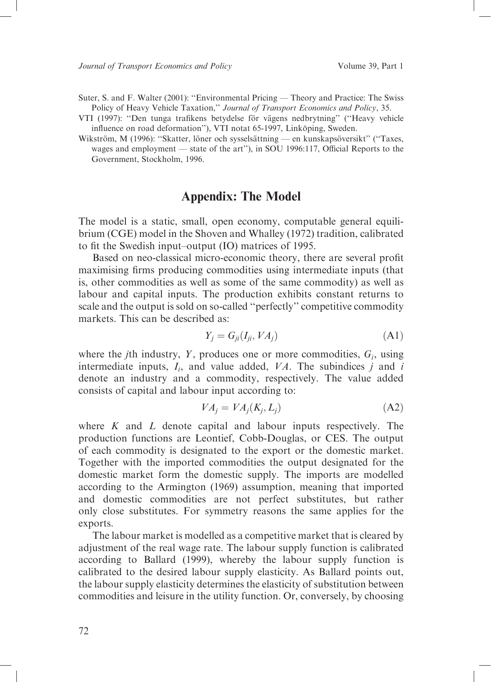Suter, S. and F. Walter (2001): "Environmental Pricing — Theory and Practice: The Swiss Policy of Heavy Vehicle Taxation," Journal of Transport Economics and Policy, 35.<br>VTI (1997): "Den tunga trafikens betydelse för vägens nedbrytning" ("Heavy vehicle

influence on road deformation"), VTI notat 65-1997, Linköping, Sweden.

Wikström, M (1996): "Skatter, löner och sysselsättning — en kunskapsöversikt" ("Taxes, wages and employment — state of the art"), in SOU 1996:117, Official Reports to the Government, Stockholm, 1996.

## **Appendix: The Model**

The model is a static, small, open economy, computable general equilibrium (CGE) model in the Shoven and Whalley (1972) tradition, calibrated to fit the Swedish input-output (IO) matrices of 1995.

Based on neo-classical micro-economic theory, there are several profit maximising firms producing commodities using intermediate inputs (that is, other commodities as well as some of the same commodity) as well as labour and capital inputs. The production exhibits constant returns to scale and the output is sold on so-called "perfectly" competitive commodity markets. This can be described as

$$
Y_j = G_{ji}(I_{ji}, VA_j) \tag{A1}
$$

where the *j*th industry, *Y*, produces one or more commodities,  $G_i$ , using intermediate inputs,  $I_i$ , and value added,  $VA$ . The subindices  $j$  and  $i$ denote an industry and a commodity, respectively. The value added consists of capital and labour input according to:

$$
VA_i = VA_i(K_i, L_i)
$$
 (A2)

where  $K$  and  $L$  denote capital and labour inputs respectively. The production functions are Leontief, Cobb-Douglas, or CES. The output of each commodity is designated to the export or the domestic market. Together with the imported commodities the output designated for the domestic market form the domestic supply. The imports are modelled according to the Armington (1969) assumption, meaning that imported and domestic commodities are not perfect substitutes, but rather only close substitutes. For symmetry reasons the same applies for the exports.

The labour market is modelled as a competitive market that is cleared by adjustment of the real wage rate. The labour supply function is calibrated according to Ballard (1999), whereby the labour supply function is calibrated to the desired labour supply elasticity. As Ballard points out, the labour supply elasticity determines the elasticity of substitution between commodities and leisure in the utility function. Or, conversely, by choosing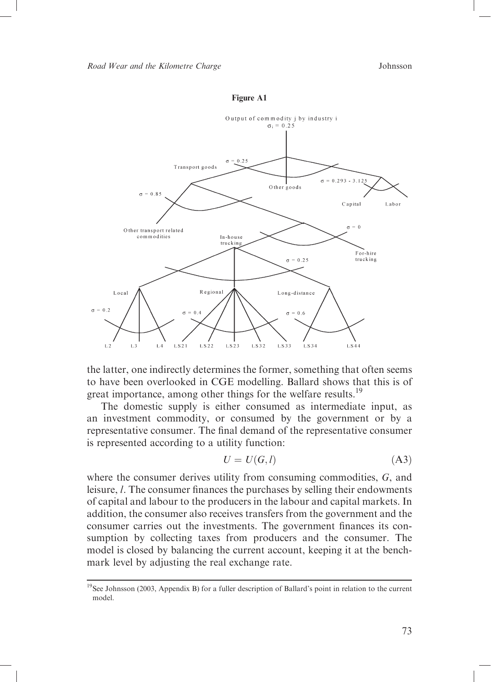



the latter, one indirectly determines the former, something that often seems to have been overlooked in CGE modelling. Ballard shows that this is of great importance, among other things for the welfare results.<sup>19</sup>

The domestic supply is either consumed as intermediate input, as an investment commodity, or consumed by the government or by a representative consumer. The final demand of the representative consumer is represented according to a utility function:

$$
U = U(G, l) \tag{A3}
$$

where the consumer derives utility from consuming commodities,  $G$ , and leisure, *l*. The consumer finances the purchases by selling their endowments of capital and labour to the producers in the labour and capital markets. In addition, the consumer also receives transfers from the government and the consumer carries out the investments. The government finances its consumption by collecting taxes from producers and the consumer. The model is closed by balancing the current account, keeping it at the benchmark level by adjusting the real exchange rate.

<sup>&</sup>lt;sup>19</sup>See Johnsson (2003, Appendix B) for a fuller description of Ballard's point in relation to the current model.